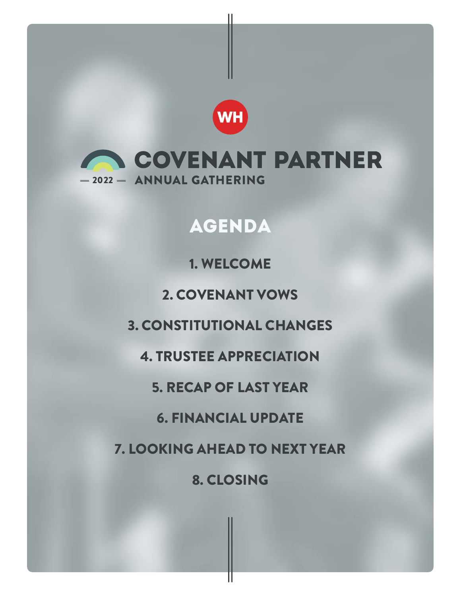

**WH** 

# AGENDA

1. WELCOME

2. COVENANT VOWS

3. CONSTITUTIONAL CHANGES

4. TRUSTEE APPRECIATION

5. RECAP OF LAST YEAR

6. FINANCIAL UPDATE

7. LOOKING AHEAD TO NEXT YEAR

8. CLOSING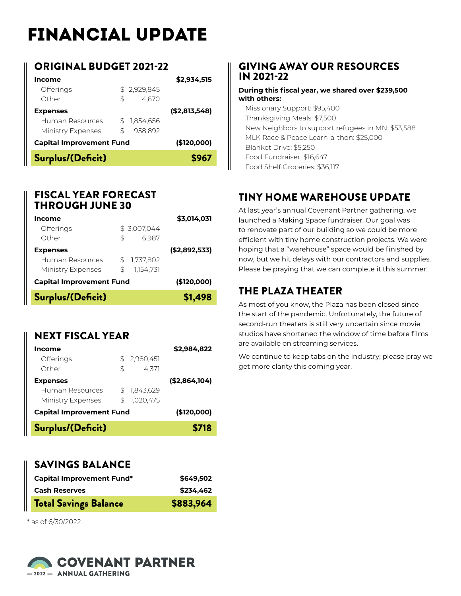# FINANCIAL UPDATE

## ORIGINAL BUDGET 2021-22

| Income                                         |    |             | \$2,934,515    |
|------------------------------------------------|----|-------------|----------------|
| <b>Offerings</b>                               |    | \$2,929,845 |                |
| Other                                          | \$ | 4,670       |                |
| <b>Expenses</b>                                |    |             | ( \$2,813,548) |
| Human Resources                                |    | 1,854,656   |                |
| Ministry Expenses                              | \$ | 958.892     |                |
| <b>Capital Improvement Fund</b><br>(\$120,000) |    |             |                |
| Surplus/(Deficit)                              |    |             | \$967          |

#### FISCAL YEAR FORECAST THROUGH JUNE 30

| Income                          |             |           | \$3,014,031   |
|---------------------------------|-------------|-----------|---------------|
| Offerings                       | \$3,007,044 |           |               |
| Other                           | \$          | 6,987     |               |
| <b>Expenses</b>                 |             |           | (\$2,892,533) |
| Human Resources                 | \$          | 1,737,802 |               |
| Ministry Expenses               | \$          | 1.154.731 |               |
| <b>Capital Improvement Fund</b> |             |           | (\$120,000)   |
| Surplus/(Deficit)               |             |           | \$1,498       |

# NEXT FISCAL YEAR

| Surplus/(Deficit)                                       |          |                        | \$718          |
|---------------------------------------------------------|----------|------------------------|----------------|
| <b>Capital Improvement Fund</b>                         |          |                        | (\$120,000)    |
| <b>Expenses</b><br>Human Resources<br>Ministry Expenses | \$<br>\$ | 1,843,629<br>1,020,475 | ( \$2,864,104) |
| <b>Offerings</b><br>Other                               | \$<br>\$ | 2,980,451<br>4.371     |                |
| Income                                                  |          |                        | \$2,984,822    |

## SAVINGS BALANCE

| <b>Capital Improvement Fund*</b> | \$649,502 |
|----------------------------------|-----------|
| <b>Cash Reserves</b>             | \$234,462 |
| <b>Total Savings Balance</b>     | \$883,964 |

\* as of 6/30/2022

#### COVENANT PARTNER -2022 - ANNUAL GATHERING

## GIVING AWAY OUR RESOURCES IN 2021-22

#### **During this fiscal year, we shared over \$239,500 with others:**

Missionary Support: \$95,400 Thanksgiving Meals: \$7,500 New Neighbors to support refugees in MN: \$53,588 MLK Race & Peace Learn-a-thon: \$25,000 Blanket Drive: \$5,250 Food Fundraiser: \$16,647 Food Shelf Groceries: \$36,117

# TINY HOME WAREHOUSE UPDATE

At last year's annual Covenant Partner gathering, we launched a Making Space fundraiser. Our goal was to renovate part of our building so we could be more efficient with tiny home construction projects. We were hoping that a "warehouse" space would be finished by now, but we hit delays with our contractors and supplies. Please be praying that we can complete it this summer!

# THE PLAZA THEATER

As most of you know, the Plaza has been closed since the start of the pandemic. Unfortunately, the future of second-run theaters is still very uncertain since movie studios have shortened the window of time before films are available on streaming services.

We continue to keep tabs on the industry; please pray we get more clarity this coming year.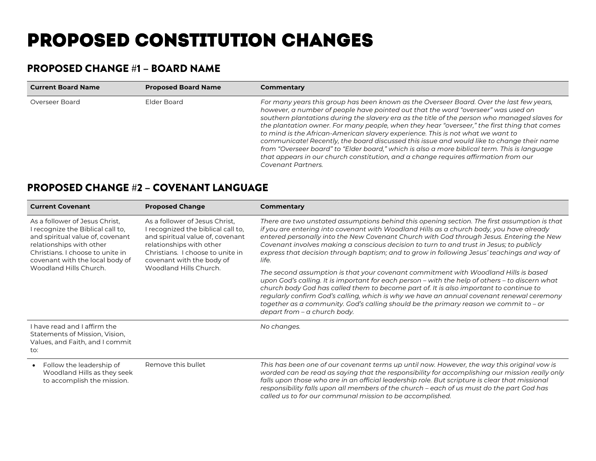# PROPOSED CONSTITUTION CHANGES

## PROPOSED CHANGE #1 – BOARD NAME

| <b>Current Board Name</b> | <b>Proposed Board Name</b> | Commentary                                                                                                                                                                                                                                                                                                                                                                                                                                                                                                                                                                                                                                                                                                                                                                  |
|---------------------------|----------------------------|-----------------------------------------------------------------------------------------------------------------------------------------------------------------------------------------------------------------------------------------------------------------------------------------------------------------------------------------------------------------------------------------------------------------------------------------------------------------------------------------------------------------------------------------------------------------------------------------------------------------------------------------------------------------------------------------------------------------------------------------------------------------------------|
| Overseer Board            | Elder Board                | For many years this group has been known as the Overseer Board. Over the last few years,<br>however, a number of people have pointed out that the word "overseer" was used on<br>southern plantations during the slavery era as the title of the person who managed slaves for<br>the plantation owner. For many people, when they hear "overseer," the first thing that comes<br>to mind is the African-American slavery experience. This is not what we want to<br>communicate! Recently, the board discussed this issue and would like to change their name<br>from "Overseer board" to "Elder board," which is also a more biblical term. This is language<br>that appears in our church constitution, and a change requires affirmation from our<br>Covenant Partners. |

#### PROPOSED CHANGE #2 – COVENANT LANGUAGE

| <b>Current Covenant</b>                                                                                                                                                                                                              | <b>Proposed Change</b>                                                                                                                                                                                                          | Commentary                                                                                                                                                                                                                                                                                                                                                                                                                                                                                                                                                                                                                                                                                                                                                                                                                                                                                                                                                                                           |
|--------------------------------------------------------------------------------------------------------------------------------------------------------------------------------------------------------------------------------------|---------------------------------------------------------------------------------------------------------------------------------------------------------------------------------------------------------------------------------|------------------------------------------------------------------------------------------------------------------------------------------------------------------------------------------------------------------------------------------------------------------------------------------------------------------------------------------------------------------------------------------------------------------------------------------------------------------------------------------------------------------------------------------------------------------------------------------------------------------------------------------------------------------------------------------------------------------------------------------------------------------------------------------------------------------------------------------------------------------------------------------------------------------------------------------------------------------------------------------------------|
| As a follower of Jesus Christ,<br>I recognize the Biblical call to,<br>and spiritual value of, covenant<br>relationships with other<br>Christians. I choose to unite in<br>covenant with the local body of<br>Woodland Hills Church. | As a follower of Jesus Christ,<br>I recognized the biblical call to,<br>and spiritual value of, covenant<br>relationships with other<br>Christians. I choose to unite in<br>covenant with the body of<br>Woodland Hills Church. | There are two unstated assumptions behind this opening section. The first assumption is that<br>if you are entering into covenant with Woodland Hills as a church body, you have already<br>entered personally into the New Covenant Church with God through Jesus. Entering the New<br>Covenant involves making a conscious decision to turn to and trust in Jesus; to publicly<br>express that decision through baptism; and to grow in following Jesus' teachings and way of<br>life.<br>The second assumption is that your covenant commitment with Woodland Hills is based<br>upon God's calling. It is important for each person – with the help of others – to discern what<br>church body God has called them to become part of. It is also important to continue to<br>regularly confirm God's calling, which is why we have an annual covenant renewal ceremony<br>together as a community. God's calling should be the primary reason we commit to $-$ or<br>depart from - a church body. |
| I have read and I affirm the<br>Statements of Mission, Vision,<br>Values, and Faith, and I commit<br>to:                                                                                                                             |                                                                                                                                                                                                                                 | No changes.                                                                                                                                                                                                                                                                                                                                                                                                                                                                                                                                                                                                                                                                                                                                                                                                                                                                                                                                                                                          |
| Follow the leadership of<br>Woodland Hills as they seek<br>to accomplish the mission.                                                                                                                                                | Remove this bullet                                                                                                                                                                                                              | This has been one of our covenant terms up until now. However, the way this original vow is<br>worded can be read as saying that the responsibility for accomplishing our mission really only<br>falls upon those who are in an official leadership role. But scripture is clear that missional<br>responsibility falls upon all members of the church - each of us must do the part God has<br>called us to for our communal mission to be accomplished.                                                                                                                                                                                                                                                                                                                                                                                                                                                                                                                                            |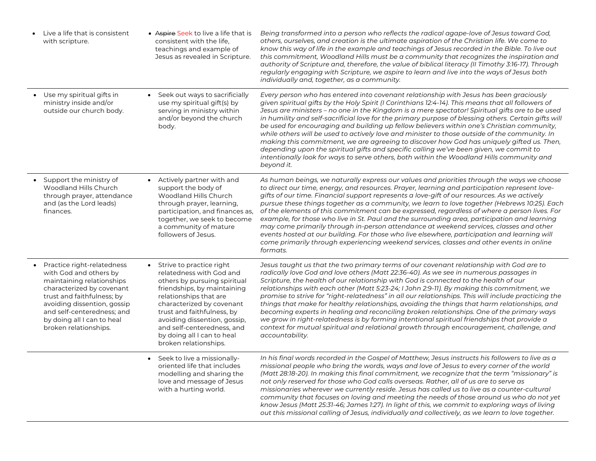| Live a life that is consistent<br>with scripture.                                                                                                                                                                                                                | • Aspire Seek to live a life that is<br>consistent with the life.<br>teachings and example of<br>Jesus as revealed in Scripture.                                                                                                                                                                                                | Being transformed into a person who reflects the radical agape-love of Jesus toward God,<br>others, ourselves, and creation is the ultimate aspiration of the Christian life. We come to<br>know this way of life in the example and teachings of Jesus recorded in the Bible. To live out<br>this commitment, Woodland Hills must be a community that recognizes the inspiration and<br>authority of Scripture and, therefore, the value of biblical literacy (II Timothy 3:16-17). Through<br>regularly engaging with Scripture, we aspire to learn and live into the ways of Jesus both<br>individually and, together, as a community.                                                                                                                                                                                                                                                                |
|------------------------------------------------------------------------------------------------------------------------------------------------------------------------------------------------------------------------------------------------------------------|---------------------------------------------------------------------------------------------------------------------------------------------------------------------------------------------------------------------------------------------------------------------------------------------------------------------------------|----------------------------------------------------------------------------------------------------------------------------------------------------------------------------------------------------------------------------------------------------------------------------------------------------------------------------------------------------------------------------------------------------------------------------------------------------------------------------------------------------------------------------------------------------------------------------------------------------------------------------------------------------------------------------------------------------------------------------------------------------------------------------------------------------------------------------------------------------------------------------------------------------------|
| • Use my spiritual gifts in<br>ministry inside and/or<br>outside our church body.                                                                                                                                                                                | • Seek out ways to sacrificially<br>use my spiritual gift(s) by<br>serving in ministry within<br>and/or beyond the church<br>body.                                                                                                                                                                                              | Every person who has entered into covenant relationship with Jesus has been graciously<br>given spiritual gifts by the Holy Spirit (I Corinthians 12:4-14). This means that all followers of<br>Jesus are ministers – no one in the Kingdom is a mere spectator! Spiritual gifts are to be used<br>in humility and self-sacrificial love for the primary purpose of blessing others. Certain gifts will<br>be used for encouraging and building up fellow believers within one's Christian community,<br>while others will be used to actively love and minister to those outside of the community. In<br>making this commitment, we are agreeing to discover how God has uniquely gifted us. Then,<br>depending upon the spiritual gifts and specific calling we've been given, we commit to<br>intentionally look for ways to serve others, both within the Woodland Hills community and<br>beyond it. |
| • Support the ministry of<br>Woodland Hills Church<br>through prayer, attendance<br>and (as the Lord leads)<br>finances.                                                                                                                                         | • Actively partner with and<br>support the body of<br>Woodland Hills Church<br>through prayer, learning,<br>participation, and finances as,<br>together, we seek to become<br>a community of mature<br>followers of Jesus.                                                                                                      | As human beings, we naturally express our values and priorities through the ways we choose<br>to direct our time, energy, and resources. Prayer, learning and participation represent love-<br>gifts of our time. Financial support represents a love-gift of our resources. As we actively<br>pursue these things together as a community, we learn to love together (Hebrews 10:25). Each<br>of the elements of this commitment can be expressed, regardless of where a person lives. For<br>example, for those who live in St. Paul and the surrounding area, participation and learning<br>may come primarily through in-person attendance at weekend services, classes and other<br>events hosted at our building. For those who live elsewhere, participation and learning will<br>come primarily through experiencing weekend services, classes and other events in online<br>formats.            |
| Practice right-relatedness<br>with God and others by<br>maintaining relationships<br>characterized by covenant<br>trust and faithfulness; by<br>avoiding dissention, gossip<br>and self-centeredness; and<br>by doing all I can to heal<br>broken relationships. | • Strive to practice right<br>relatedness with God and<br>others by pursuing spiritual<br>friendships, by maintaining<br>relationships that are<br>characterized by covenant<br>trust and faithfulness, by<br>avoiding dissention, gossip,<br>and self-centeredness, and<br>by doing all I can to heal<br>broken relationships. | Jesus taught us that the two primary terms of our covenant relationship with God are to<br>radically love God and love others (Matt 22:36-40). As we see in numerous passages in<br>Scripture, the health of our relationship with God is connected to the health of our<br>relationships with each other (Matt 5:23-24; I John 2:9-11). By making this commitment, we<br>promise to strive for "right-relatedness" in all our relationships. This will include practicing the<br>things that make for healthy relationships, avoiding the things that harm relationships, and<br>becoming experts in healing and reconciling broken relationships. One of the primary ways<br>we grow in right-relatedness is by forming intentional spiritual friendships that provide a<br>context for mutual spiritual and relational growth through encouragement, challenge, and<br>accountability.                |
|                                                                                                                                                                                                                                                                  | • Seek to live a missionally-<br>oriented life that includes<br>modelling and sharing the<br>love and message of Jesus<br>with a hurting world.                                                                                                                                                                                 | In his final words recorded in the Gospel of Matthew, Jesus instructs his followers to live as a<br>missional people who bring the words, ways and love of Jesus to every corner of the world<br>(Matt 28:18-20). In making this final commitment, we recognize that the term "missionary" is<br>not only reserved for those who God calls overseas. Rather, all of us are to serve as<br>missionaries wherever we currently reside. Jesus has called us to live as a counter-cultural<br>community that focuses on loving and meeting the needs of those around us who do not yet<br>know Jesus (Matt 25:31-46; James 1:27). In light of this, we commit to exploring ways of living<br>out this missional calling of Jesus, individually and collectively, as we learn to love together.                                                                                                               |